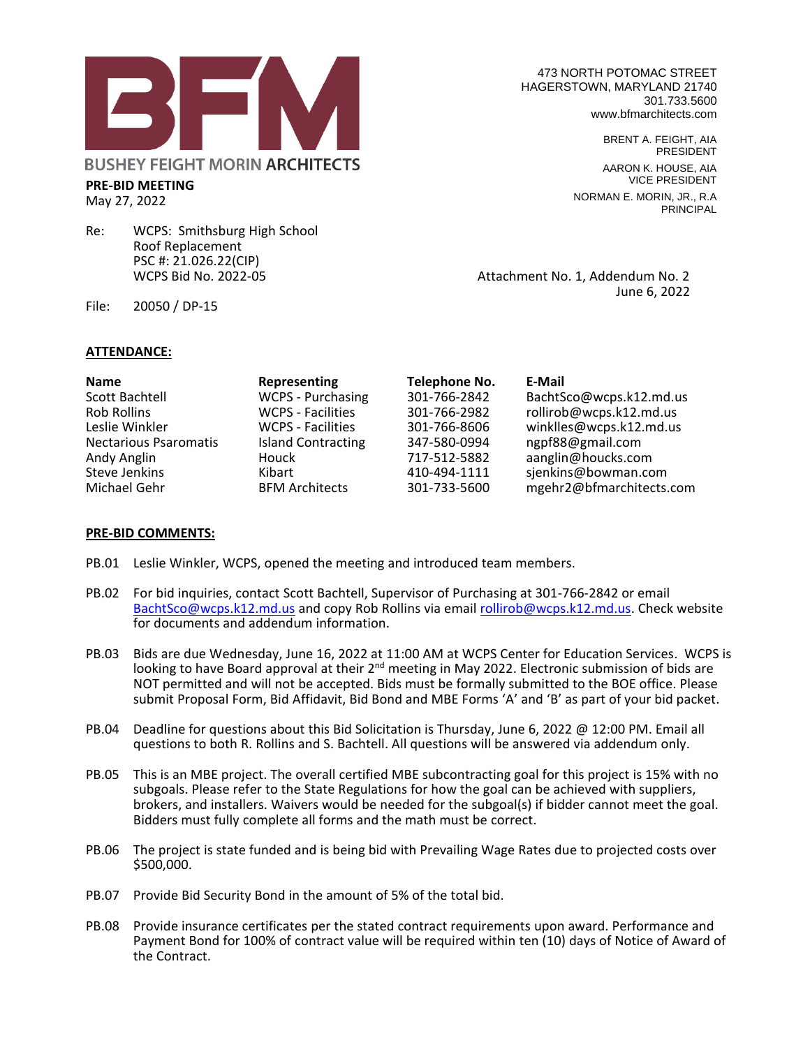

Re: WCPS: Smithsburg High School Roof Replacement PSC #: 21.026.22(CIP)

473 NORTH POTOMAC STREET HAGERSTOWN, MARYLAND 21740 301.733.5600 www.bfmarchitects.com

> BRENT A. FEIGHT, AIA PRESIDENT AARON K. HOUSE, AIA VICE PRESIDENT NORMAN E. MORIN, JR., R.A PRINCIPAL

Attachment No. 1, Addendum No. 2 June 6, 2022

File: 20050 / DP-15

**PRE-BID MEETING** May 27, 2022

## **ATTENDANCE:**

| <b>Name</b>                  | Representing              | <b>Telephone No.</b> | E-Mail                   |
|------------------------------|---------------------------|----------------------|--------------------------|
| <b>Scott Bachtell</b>        | WCPS - Purchasing         | 301-766-2842         | BachtSco@wcps.k12.md.us  |
| Rob Rollins                  | <b>WCPS - Facilities</b>  | 301-766-2982         | rollirob@wcps.k12.md.us  |
| Leslie Winkler               | <b>WCPS - Facilities</b>  | 301-766-8606         | winklles@wcps.k12.md.us  |
| <b>Nectarious Psaromatis</b> | <b>Island Contracting</b> | 347-580-0994         | ngpf88@gmail.com         |
| Andy Anglin                  | Houck                     | 717-512-5882         | aanglin@houcks.com       |
| <b>Steve Jenkins</b>         | Kibart                    | 410-494-1111         | sjenkins@bowman.com      |
| Michael Gehr                 | <b>BFM Architects</b>     | 301-733-5600         | mgehr2@bfmarchitects.com |

## **PRE-BID COMMENTS:**

- PB.01 Leslie Winkler, WCPS, opened the meeting and introduced team members.
- PB.02 For bid inquiries, contact Scott Bachtell, Supervisor of Purchasing at 301-766-2842 or email [BachtSco@wcps.k12.md.us](mailto:BachtSco@wcps.k12.md.us) and copy Rob Rollins via email [rollirob@wcps.k12.md.us.](mailto:rollirob@wcps.k12.md.us) Check website for documents and addendum information.
- PB.03 Bids are due Wednesday, June 16, 2022 at 11:00 AM at WCPS Center for Education Services. WCPS is looking to have Board approval at their 2<sup>nd</sup> meeting in May 2022. Electronic submission of bids are NOT permitted and will not be accepted. Bids must be formally submitted to the BOE office. Please submit Proposal Form, Bid Affidavit, Bid Bond and MBE Forms 'A' and 'B' as part of your bid packet.
- PB.04 Deadline for questions about this Bid Solicitation is Thursday, June 6, 2022 @ 12:00 PM. Email all questions to both R. Rollins and S. Bachtell. All questions will be answered via addendum only.
- PB.05 This is an MBE project. The overall certified MBE subcontracting goal for this project is 15% with no subgoals. Please refer to the State Regulations for how the goal can be achieved with suppliers, brokers, and installers. Waivers would be needed for the subgoal(s) if bidder cannot meet the goal. Bidders must fully complete all forms and the math must be correct.
- PB.06 The project is state funded and is being bid with Prevailing Wage Rates due to projected costs over \$500,000.
- PB.07 Provide Bid Security Bond in the amount of 5% of the total bid.
- PB.08 Provide insurance certificates per the stated contract requirements upon award. Performance and Payment Bond for 100% of contract value will be required within ten (10) days of Notice of Award of the Contract.